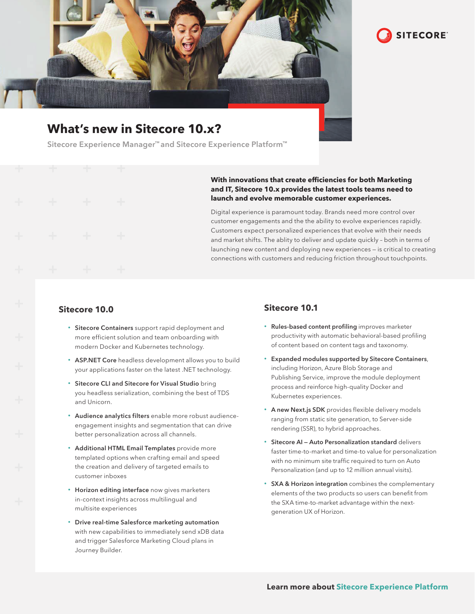

# **What's new in Sitecore 10.x?**

Sitecore Experience Manager™ and Sitecore Experience Platform™

#### **With innovations that create efficiencies for both Marketing and IT, Sitecore 10.x provides the latest tools teams need to launch and evolve memorable customer experiences.**

Digital experience is paramount today. Brands need more control over customer engagements and the the ability to evolve experiences rapidly. Customers expect personalized experiences that evolve with their needs and market shifts. The ablity to deliver and update quickly – both in terms of launching new content and deploying new experiences — is critical to creating connections with customers and reducing friction throughout touchpoints.

### **Sitecore 10.0**

- Sitecore Containers support rapid deployment and more efficient solution and team onboarding with modern Docker and Kubernetes technology.
- ASP.NET Core headless development allows you to build your applications faster on the latest .NET technology.
- Sitecore CLI and Sitecore for Visual Studio bring you headless serialization, combining the best of TDS and Unicorn.
- Audience analytics filters enable more robust audienceengagement insights and segmentation that can drive better personalization across all channels.
- Additional HTML Email Templates provide more templated options when crafting email and speed the creation and delivery of targeted emails to customer inboxes
- Horizon editing interface now gives marketers in-context insights across multilingual and multisite experiences
- Drive real-time Salesforce marketing automation with new capabilities to immediately send xDB data and trigger Salesforce Marketing Cloud plans in Journey Builder.

## **Sitecore 10.1**

• Rules-based content profiling improves marketer productivity with automatic behavioral-based profiling of content based on content tags and taxonomy.

**SITECORE** 

- Expanded modules supported by Sitecore Containers, including Horizon, Azure Blob Storage and Publishing Service, improve the module deployment process and reinforce high-quality Docker and Kubernetes experiences.
- A new Next.js SDK provides flexible delivery models ranging from static site generation, to Server-side rendering (SSR), to hybrid approaches.
- Sitecore AI Auto Personalization standard delivers faster time-to-market and time-to value for personalization with no minimum site traffic required to turn on Auto Personalization (and up to 12 million annual visits).
- SXA & Horizon integration combines the complementary elements of the two products so users can benefit from the SXA time-to-market advantage within the nextgeneration UX of Horizon.